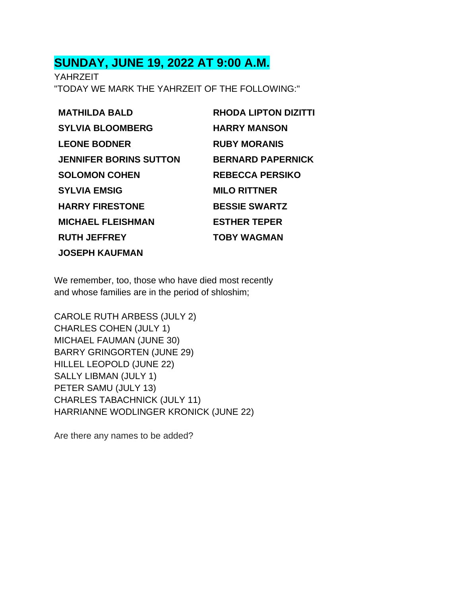## **SUNDAY, JUNE 19, 2022 AT 9:00 A.M.**

YAHRZEIT "TODAY WE MARK THE YAHRZEIT OF THE FOLLOWING:"

| <b>MATHILDA BALD</b>          | <b>RHODA LIPTON DIZITTI</b> |
|-------------------------------|-----------------------------|
| <b>SYLVIA BLOOMBERG</b>       | <b>HARRY MANSON</b>         |
| <b>LEONE BODNER</b>           | <b>RUBY MORANIS</b>         |
| <b>JENNIFER BORINS SUTTON</b> | <b>BERNARD PAPERNICK</b>    |
| <b>SOLOMON COHEN</b>          | <b>REBECCA PERSIKO</b>      |
| <b>SYLVIA EMSIG</b>           | <b>MILO RITTNER</b>         |
| <b>HARRY FIRESTONE</b>        | <b>BESSIE SWARTZ</b>        |
| <b>MICHAEL FLEISHMAN</b>      | <b>ESTHER TEPER</b>         |
| <b>RUTH JEFFREY</b>           | <b>TOBY WAGMAN</b>          |
| <b>JOSEPH KAUFMAN</b>         |                             |

We remember, too, those who have died most recently and whose families are in the period of shloshim;

CAROLE RUTH ARBESS (JULY 2) CHARLES COHEN (JULY 1) MICHAEL FAUMAN (JUNE 30) BARRY GRINGORTEN (JUNE 29) HILLEL LEOPOLD (JUNE 22) SALLY LIBMAN (JULY 1) PETER SAMU (JULY 13) CHARLES TABACHNICK (JULY 11) HARRIANNE WODLINGER KRONICK (JUNE 22)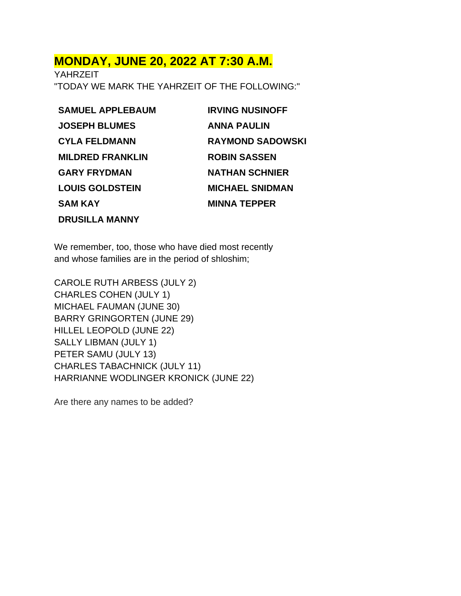#### **MONDAY, JUNE 20, 2022 AT 7:30 A.M.**

YAHRZEIT "TODAY WE MARK THE YAHRZEIT OF THE FOLLOWING:"

**SAMUEL APPLEBAUM JOSEPH BLUMES CYLA FELDMANN MILDRED FRANKLIN GARY FRYDMAN LOUIS GOLDSTEIN SAM KAY DRUSILLA MANNY**

**IRVING NUSINOFF ANNA PAULIN RAYMOND SADOWSKI ROBIN SASSEN NATHAN SCHNIER MICHAEL SNIDMAN MINNA TEPPER**

We remember, too, those who have died most recently and whose families are in the period of shloshim;

CAROLE RUTH ARBESS (JULY 2) CHARLES COHEN (JULY 1) MICHAEL FAUMAN (JUNE 30) BARRY GRINGORTEN (JUNE 29) HILLEL LEOPOLD (JUNE 22) SALLY LIBMAN (JULY 1) PETER SAMU (JULY 13) CHARLES TABACHNICK (JULY 11) HARRIANNE WODLINGER KRONICK (JUNE 22)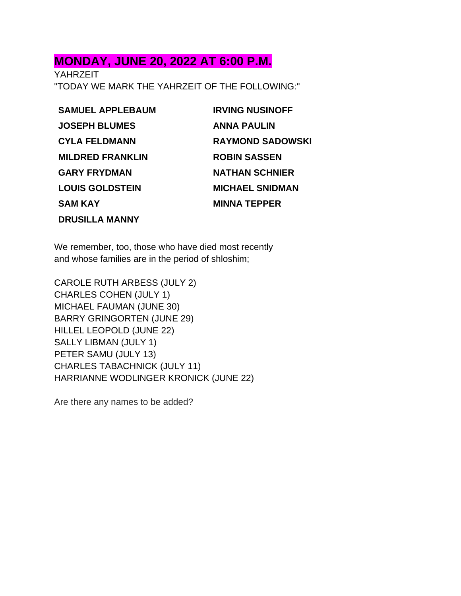#### **MONDAY, JUNE 20, 2022 AT 6:00 P.M.**

YAHRZEIT "TODAY WE MARK THE YAHRZEIT OF THE FOLLOWING:"

**SAMUEL APPLEBAUM JOSEPH BLUMES CYLA FELDMANN MILDRED FRANKLIN GARY FRYDMAN LOUIS GOLDSTEIN SAM KAY DRUSILLA MANNY**

**IRVING NUSINOFF ANNA PAULIN RAYMOND SADOWSKI ROBIN SASSEN NATHAN SCHNIER MICHAEL SNIDMAN MINNA TEPPER**

We remember, too, those who have died most recently and whose families are in the period of shloshim;

CAROLE RUTH ARBESS (JULY 2) CHARLES COHEN (JULY 1) MICHAEL FAUMAN (JUNE 30) BARRY GRINGORTEN (JUNE 29) HILLEL LEOPOLD (JUNE 22) SALLY LIBMAN (JULY 1) PETER SAMU (JULY 13) CHARLES TABACHNICK (JULY 11) HARRIANNE WODLINGER KRONICK (JUNE 22)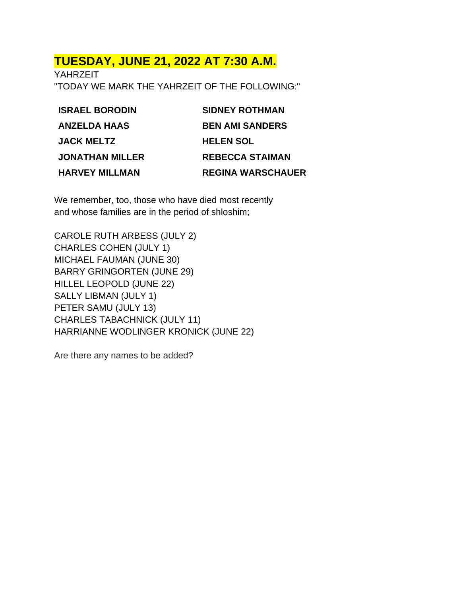# **TUESDAY, JUNE 21, 2022 AT 7:30 A.M.**

YAHRZEIT "TODAY WE MARK THE YAHRZEIT OF THE FOLLOWING:"

| <b>BEN AMI SANDERS</b><br><b>ANZELDA HAAS</b>     |  |
|---------------------------------------------------|--|
| <b>JACK MELTZ</b><br><b>HELEN SOL</b>             |  |
| <b>REBECCA STAIMAN</b><br><b>JONATHAN MILLER</b>  |  |
| <b>REGINA WARSCHAUER</b><br><b>HARVEY MILLMAN</b> |  |

We remember, too, those who have died most recently and whose families are in the period of shloshim;

CAROLE RUTH ARBESS (JULY 2) CHARLES COHEN (JULY 1) MICHAEL FAUMAN (JUNE 30) BARRY GRINGORTEN (JUNE 29) HILLEL LEOPOLD (JUNE 22) SALLY LIBMAN (JULY 1) PETER SAMU (JULY 13) CHARLES TABACHNICK (JULY 11) HARRIANNE WODLINGER KRONICK (JUNE 22)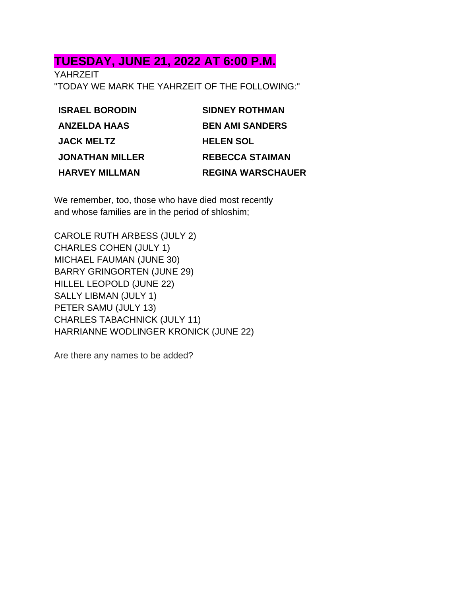## **TUESDAY, JUNE 21, 2022 AT 6:00 P.M.**

YAHRZEIT "TODAY WE MARK THE YAHRZEIT OF THE FOLLOWING:"

| <b>ISRAEL BORODIN</b>  | <b>SIDNEY ROTHMAN</b>    |
|------------------------|--------------------------|
| <b>ANZELDA HAAS</b>    | <b>BEN AMI SANDERS</b>   |
| <b>JACK MELTZ</b>      | <b>HELEN SOL</b>         |
| <b>JONATHAN MILLER</b> | <b>REBECCA STAIMAN</b>   |
| <b>HARVEY MILLMAN</b>  | <b>REGINA WARSCHAUER</b> |

We remember, too, those who have died most recently and whose families are in the period of shloshim;

CAROLE RUTH ARBESS (JULY 2) CHARLES COHEN (JULY 1) MICHAEL FAUMAN (JUNE 30) BARRY GRINGORTEN (JUNE 29) HILLEL LEOPOLD (JUNE 22) SALLY LIBMAN (JULY 1) PETER SAMU (JULY 13) CHARLES TABACHNICK (JULY 11) HARRIANNE WODLINGER KRONICK (JUNE 22)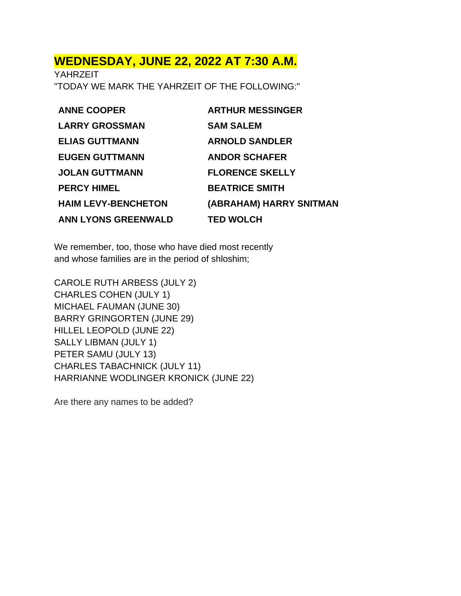#### **WEDNESDAY, JUNE 22, 2022 AT 7:30 A.M.**

YAHRZEIT "TODAY WE MARK THE YAHRZEIT OF THE FOLLOWING:"

| <b>ANNE COOPER</b>         | <b>ARTHUR MESSINGER</b> |
|----------------------------|-------------------------|
| <b>LARRY GROSSMAN</b>      | <b>SAM SALEM</b>        |
| <b>ELIAS GUTTMANN</b>      | <b>ARNOLD SANDLER</b>   |
| <b>EUGEN GUTTMANN</b>      | <b>ANDOR SCHAFER</b>    |
| <b>JOLAN GUTTMANN</b>      | <b>FLORENCE SKELLY</b>  |
| <b>PERCY HIMEL</b>         | <b>BEATRICE SMITH</b>   |
| <b>HAIM LEVY-BENCHETON</b> | (ABRAHAM) HARRY SNITMAN |
| <b>ANN LYONS GREENWALD</b> | <b>TED WOLCH</b>        |

We remember, too, those who have died most recently and whose families are in the period of shloshim;

CAROLE RUTH ARBESS (JULY 2) CHARLES COHEN (JULY 1) MICHAEL FAUMAN (JUNE 30) BARRY GRINGORTEN (JUNE 29) HILLEL LEOPOLD (JUNE 22) SALLY LIBMAN (JULY 1) PETER SAMU (JULY 13) CHARLES TABACHNICK (JULY 11) HARRIANNE WODLINGER KRONICK (JUNE 22)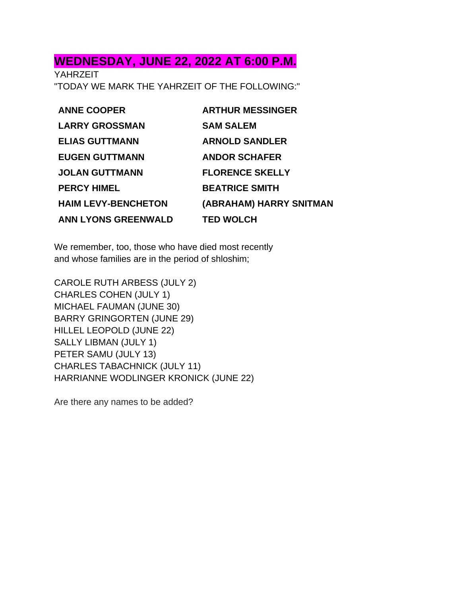# **WEDNESDAY, JUNE 22, 2022 AT 6:00 P.M.**

YAHRZEIT "TODAY WE MARK THE YAHRZEIT OF THE FOLLOWING:"

| <b>ANNE COOPER</b>         | <b>ARTHUR MESSINGER</b> |
|----------------------------|-------------------------|
| <b>LARRY GROSSMAN</b>      | <b>SAM SALEM</b>        |
| <b>ELIAS GUTTMANN</b>      | <b>ARNOLD SANDLER</b>   |
| <b>EUGEN GUTTMANN</b>      | <b>ANDOR SCHAFER</b>    |
| <b>JOLAN GUTTMANN</b>      | <b>FLORENCE SKELLY</b>  |
| <b>PERCY HIMEL</b>         | <b>BEATRICE SMITH</b>   |
| <b>HAIM LEVY-BENCHETON</b> | (ABRAHAM) HARRY SNITMAN |
| <b>ANN LYONS GREENWALD</b> | <b>TED WOLCH</b>        |

We remember, too, those who have died most recently and whose families are in the period of shloshim;

CAROLE RUTH ARBESS (JULY 2) CHARLES COHEN (JULY 1) MICHAEL FAUMAN (JUNE 30) BARRY GRINGORTEN (JUNE 29) HILLEL LEOPOLD (JUNE 22) SALLY LIBMAN (JULY 1) PETER SAMU (JULY 13) CHARLES TABACHNICK (JULY 11) HARRIANNE WODLINGER KRONICK (JUNE 22)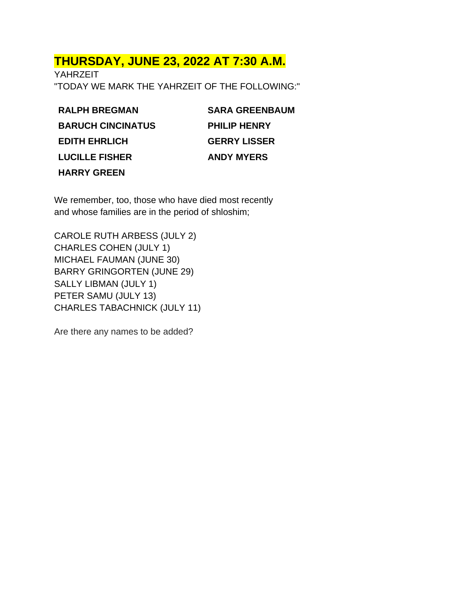# **THURSDAY, JUNE 23, 2022 AT 7:30 A.M.**

YAHRZEIT "TODAY WE MARK THE YAHRZEIT OF THE FOLLOWING:"

**RALPH BREGMAN BARUCH CINCINATUS EDITH EHRLICH LUCILLE FISHER HARRY GREEN**

**SARA GREENBAUM PHILIP HENRY GERRY LISSER ANDY MYERS**

We remember, too, those who have died most recently and whose families are in the period of shloshim;

CAROLE RUTH ARBESS (JULY 2) CHARLES COHEN (JULY 1) MICHAEL FAUMAN (JUNE 30) BARRY GRINGORTEN (JUNE 29) SALLY LIBMAN (JULY 1) PETER SAMU (JULY 13) CHARLES TABACHNICK (JULY 11)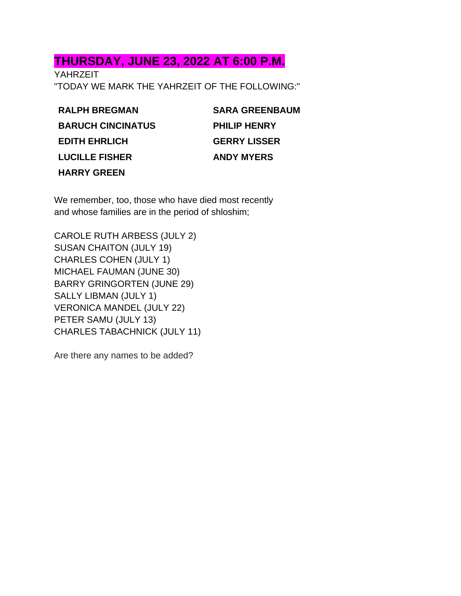### **THURSDAY, JUNE 23, 2022 AT 6:00 P.M.**

YAHRZEIT "TODAY WE MARK THE YAHRZEIT OF THE FOLLOWING:"

**RALPH BREGMAN BARUCH CINCINATUS EDITH EHRLICH LUCILLE FISHER HARRY GREEN**

| <b>SARA GREENBAUM</b> |
|-----------------------|
| <b>PHILIP HENRY</b>   |
| <b>GERRY LISSER</b>   |
| <b>ANDY MYERS</b>     |

We remember, too, those who have died most recently and whose families are in the period of shloshim;

CAROLE RUTH ARBESS (JULY 2) SUSAN CHAITON (JULY 19) CHARLES COHEN (JULY 1) MICHAEL FAUMAN (JUNE 30) BARRY GRINGORTEN (JUNE 29) SALLY LIBMAN (JULY 1) VERONICA MANDEL (JULY 22) PETER SAMU (JULY 13) CHARLES TABACHNICK (JULY 11)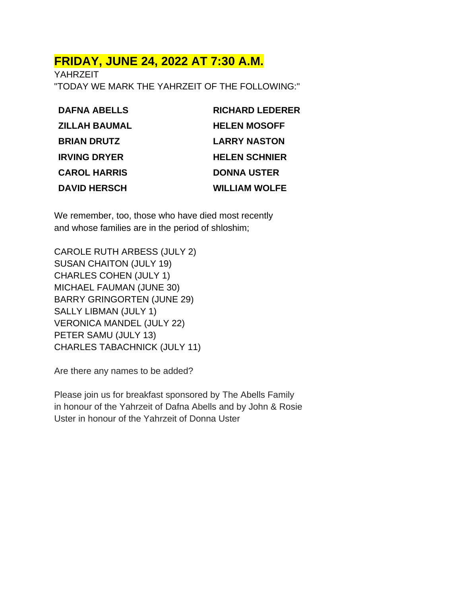## **FRIDAY, JUNE 24, 2022 AT 7:30 A.M.**

YAHRZEIT "TODAY WE MARK THE YAHRZEIT OF THE FOLLOWING:"

| <b>DAFNA ABELLS</b>  | <b>RICHARD LEDERER</b> |
|----------------------|------------------------|
| <b>ZILLAH BAUMAL</b> | <b>HELEN MOSOFF</b>    |
| <b>BRIAN DRUTZ</b>   | <b>LARRY NASTON</b>    |
| <b>IRVING DRYER</b>  | <b>HELEN SCHNIER</b>   |
| <b>CAROL HARRIS</b>  | <b>DONNA USTER</b>     |
| <b>DAVID HERSCH</b>  | <b>WILLIAM WOLFE</b>   |

We remember, too, those who have died most recently and whose families are in the period of shloshim;

CAROLE RUTH ARBESS (JULY 2) SUSAN CHAITON (JULY 19) CHARLES COHEN (JULY 1) MICHAEL FAUMAN (JUNE 30) BARRY GRINGORTEN (JUNE 29) SALLY LIBMAN (JULY 1) VERONICA MANDEL (JULY 22) PETER SAMU (JULY 13) CHARLES TABACHNICK (JULY 11)

Are there any names to be added?

Please join us for breakfast sponsored by The Abells Family in honour of the Yahrzeit of Dafna Abells and by John & Rosie Uster in honour of the Yahrzeit of Donna Uster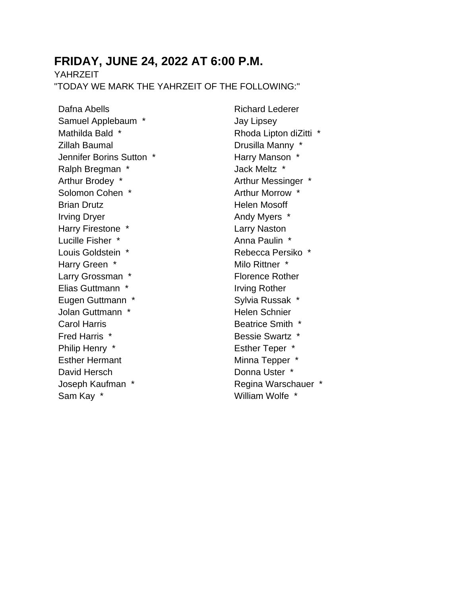## **FRIDAY, JUNE 24, 2022 AT 6:00 P.M.**

YAHR7FIT

"TODAY WE MARK THE YAHRZEIT OF THE FOLLOWING:"

Dafna Abells Samuel Applebaum \* Mathilda Bald \* Zillah Baumal Jennifer Borins Sutton \* Ralph Bregman \* Arthur Brodey \* Solomon Cohen \* Brian Drutz Irving Dryer Harry Firestone \* Lucille Fisher \* Louis Goldstein \* Harry Green \* Larry Grossman \* Elias Guttmann \* Eugen Guttmann \* Jolan Guttmann \* Carol Harris Fred Harris \* Philip Henry \* Esther Hermant David Hersch Joseph Kaufman \* Sam Kay \*

Richard Lederer Jay Lipsey Rhoda Lipton diZitti \* Drusilla Manny \* Harry Manson \* Jack Meltz \* Arthur Messinger \* Arthur Morrow \* Helen Mosoff Andy Myers \* Larry Naston Anna Paulin \* Rebecca Persiko \* Milo Rittner \* Florence Rother Irving Rother Sylvia Russak \* Helen Schnier Beatrice Smith \* Bessie Swartz \* Esther Teper \* Minna Tepper \* Donna Uster \* Regina Warschauer \* William Wolfe \*